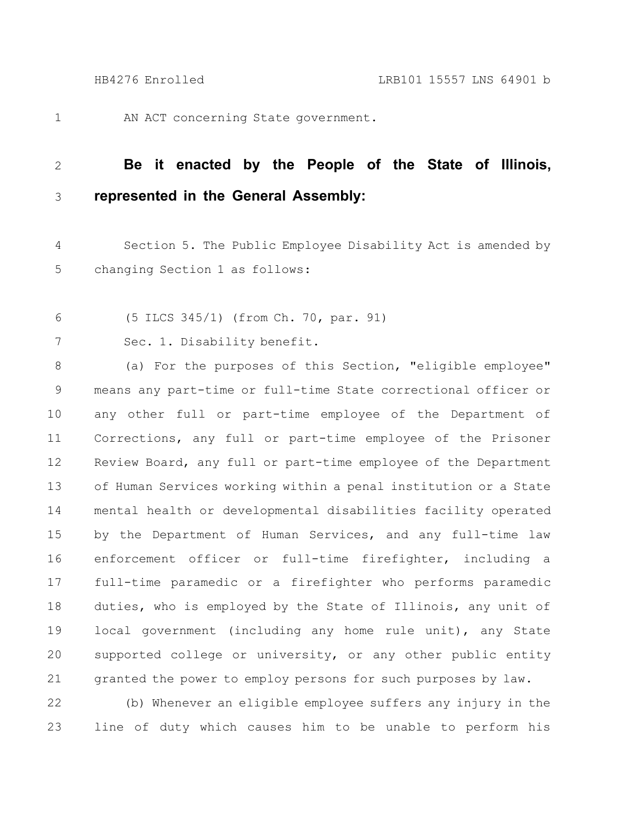1

AN ACT concerning State government.

## **Be it enacted by the People of the State of Illinois, represented in the General Assembly:** 2 3

Section 5. The Public Employee Disability Act is amended by changing Section 1 as follows: 4 5

- (5 ILCS 345/1) (from Ch. 70, par. 91) 6
- Sec. 1. Disability benefit. 7

(a) For the purposes of this Section, "eligible employee" means any part-time or full-time State correctional officer or any other full or part-time employee of the Department of Corrections, any full or part-time employee of the Prisoner Review Board, any full or part-time employee of the Department of Human Services working within a penal institution or a State mental health or developmental disabilities facility operated by the Department of Human Services, and any full-time law enforcement officer or full-time firefighter, including a full-time paramedic or a firefighter who performs paramedic duties, who is employed by the State of Illinois, any unit of local government (including any home rule unit), any State supported college or university, or any other public entity granted the power to employ persons for such purposes by law. 8 9 10 11 12 13 14 15 16 17 18 19 20 21

(b) Whenever an eligible employee suffers any injury in the line of duty which causes him to be unable to perform his 22 23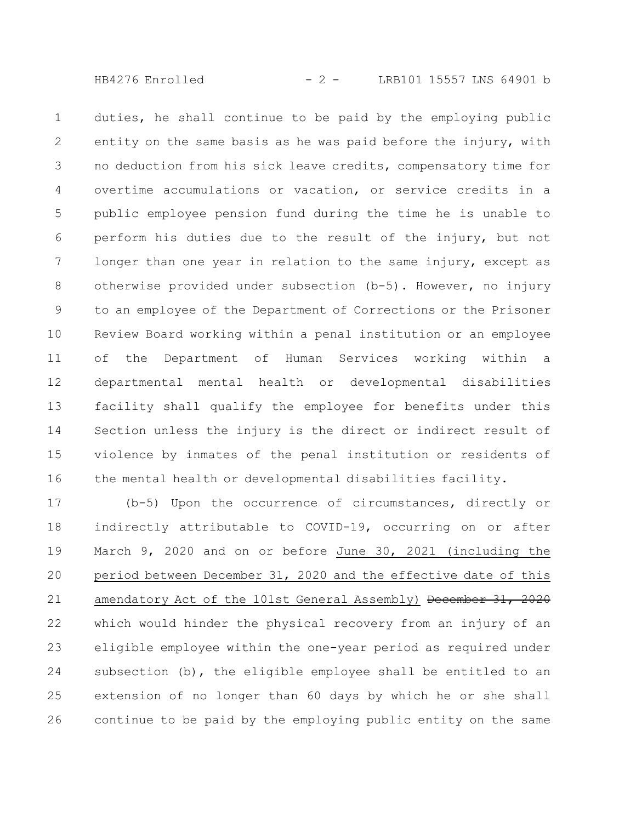HB4276 Enrolled - 2 - LRB101 15557 LNS 64901 b

duties, he shall continue to be paid by the employing public entity on the same basis as he was paid before the injury, with no deduction from his sick leave credits, compensatory time for overtime accumulations or vacation, or service credits in a public employee pension fund during the time he is unable to perform his duties due to the result of the injury, but not longer than one year in relation to the same injury, except as otherwise provided under subsection (b-5). However, no injury to an employee of the Department of Corrections or the Prisoner Review Board working within a penal institution or an employee of the Department of Human Services working within a departmental mental health or developmental disabilities facility shall qualify the employee for benefits under this Section unless the injury is the direct or indirect result of violence by inmates of the penal institution or residents of the mental health or developmental disabilities facility. 1 2 3 4 5 6 7 8 9 10 11 12 13 14 15 16

(b-5) Upon the occurrence of circumstances, directly or indirectly attributable to COVID-19, occurring on or after March 9, 2020 and on or before June 30, 2021 (including the period between December 31, 2020 and the effective date of this amendatory Act of the 101st General Assembly) December 31, 2020 which would hinder the physical recovery from an injury of an eligible employee within the one-year period as required under subsection (b), the eligible employee shall be entitled to an extension of no longer than 60 days by which he or she shall continue to be paid by the employing public entity on the same 17 18 19 20 21 22 23 24 25 26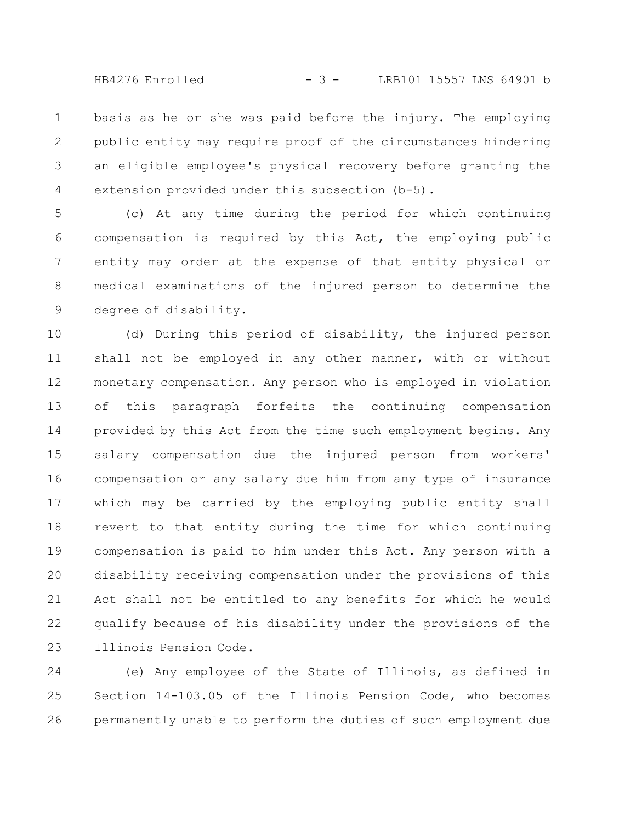HB4276 Enrolled - 3 - LRB101 15557 LNS 64901 b

basis as he or she was paid before the injury. The employing public entity may require proof of the circumstances hindering an eligible employee's physical recovery before granting the extension provided under this subsection (b-5). 1 2 3 4

(c) At any time during the period for which continuing compensation is required by this Act, the employing public entity may order at the expense of that entity physical or medical examinations of the injured person to determine the degree of disability. 5 6 7 8 9

(d) During this period of disability, the injured person shall not be employed in any other manner, with or without monetary compensation. Any person who is employed in violation of this paragraph forfeits the continuing compensation provided by this Act from the time such employment begins. Any salary compensation due the injured person from workers' compensation or any salary due him from any type of insurance which may be carried by the employing public entity shall revert to that entity during the time for which continuing compensation is paid to him under this Act. Any person with a disability receiving compensation under the provisions of this Act shall not be entitled to any benefits for which he would qualify because of his disability under the provisions of the Illinois Pension Code. 10 11 12 13 14 15 16 17 18 19 20 21 22 23

(e) Any employee of the State of Illinois, as defined in Section 14-103.05 of the Illinois Pension Code, who becomes permanently unable to perform the duties of such employment due 24 25 26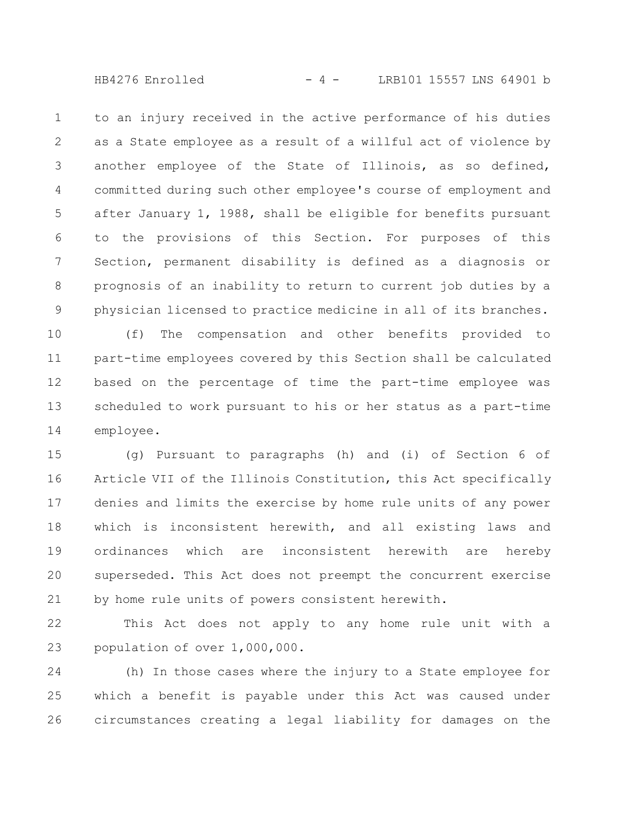$HB4276$  Enrolled  $-4 -$  LRB101 15557 LNS 64901 b

to an injury received in the active performance of his duties as a State employee as a result of a willful act of violence by another employee of the State of Illinois, as so defined, committed during such other employee's course of employment and after January 1, 1988, shall be eligible for benefits pursuant to the provisions of this Section. For purposes of this Section, permanent disability is defined as a diagnosis or prognosis of an inability to return to current job duties by a physician licensed to practice medicine in all of its branches. 1 2 3 4 5 6 7 8 9

(f) The compensation and other benefits provided to part-time employees covered by this Section shall be calculated based on the percentage of time the part-time employee was scheduled to work pursuant to his or her status as a part-time employee. 10 11 12 13 14

(g) Pursuant to paragraphs (h) and (i) of Section 6 of Article VII of the Illinois Constitution, this Act specifically denies and limits the exercise by home rule units of any power which is inconsistent herewith, and all existing laws and ordinances which are inconsistent herewith are hereby superseded. This Act does not preempt the concurrent exercise by home rule units of powers consistent herewith. 15 16 17 18 19 20 21

This Act does not apply to any home rule unit with a population of over 1,000,000. 22 23

(h) In those cases where the injury to a State employee for which a benefit is payable under this Act was caused under circumstances creating a legal liability for damages on the 24 25 26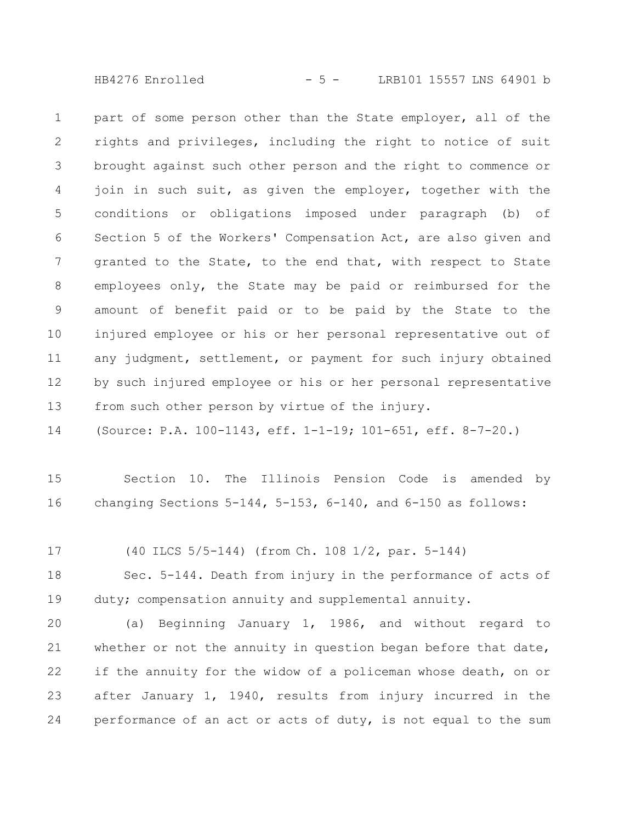HB4276 Enrolled - 5 - LRB101 15557 LNS 64901 b

part of some person other than the State employer, all of the rights and privileges, including the right to notice of suit brought against such other person and the right to commence or join in such suit, as given the employer, together with the conditions or obligations imposed under paragraph (b) of Section 5 of the Workers' Compensation Act, are also given and granted to the State, to the end that, with respect to State employees only, the State may be paid or reimbursed for the amount of benefit paid or to be paid by the State to the injured employee or his or her personal representative out of any judgment, settlement, or payment for such injury obtained by such injured employee or his or her personal representative from such other person by virtue of the injury. 1 2 3 4 5 6 7 8 9 10 11 12 13

(Source: P.A. 100-1143, eff. 1-1-19; 101-651, eff. 8-7-20.) 14

Section 10. The Illinois Pension Code is amended by changing Sections 5-144, 5-153, 6-140, and 6-150 as follows: 15 16

(40 ILCS 5/5-144) (from Ch. 108 1/2, par. 5-144) 17

Sec. 5-144. Death from injury in the performance of acts of duty; compensation annuity and supplemental annuity. 18 19

(a) Beginning January 1, 1986, and without regard to whether or not the annuity in question began before that date, if the annuity for the widow of a policeman whose death, on or after January 1, 1940, results from injury incurred in the performance of an act or acts of duty, is not equal to the sum 20 21 22 23 24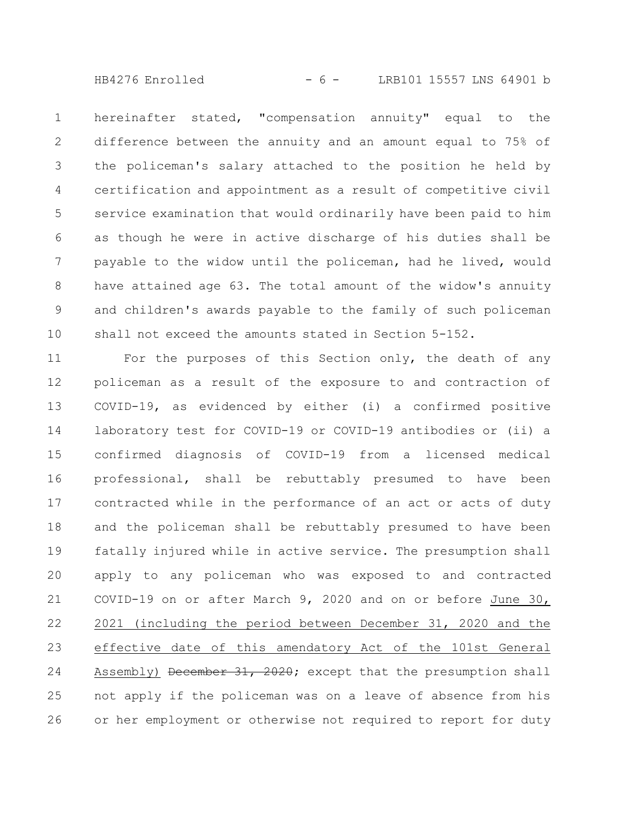HB4276 Enrolled - 6 - LRB101 15557 LNS 64901 b

hereinafter stated, "compensation annuity" equal to the difference between the annuity and an amount equal to 75% of the policeman's salary attached to the position he held by certification and appointment as a result of competitive civil service examination that would ordinarily have been paid to him as though he were in active discharge of his duties shall be payable to the widow until the policeman, had he lived, would have attained age 63. The total amount of the widow's annuity and children's awards payable to the family of such policeman shall not exceed the amounts stated in Section 5-152. 1 2 3 4 5 6 7 8 9 10

For the purposes of this Section only, the death of any policeman as a result of the exposure to and contraction of COVID-19, as evidenced by either (i) a confirmed positive laboratory test for COVID-19 or COVID-19 antibodies or (ii) a confirmed diagnosis of COVID-19 from a licensed medical professional, shall be rebuttably presumed to have been contracted while in the performance of an act or acts of duty and the policeman shall be rebuttably presumed to have been fatally injured while in active service. The presumption shall apply to any policeman who was exposed to and contracted COVID-19 on or after March 9, 2020 and on or before June 30, 2021 (including the period between December 31, 2020 and the effective date of this amendatory Act of the 101st General Assembly) December 31, 2020; except that the presumption shall not apply if the policeman was on a leave of absence from his or her employment or otherwise not required to report for duty 11 12 13 14 15 16 17 18 19 20 21 22 23 24 25 26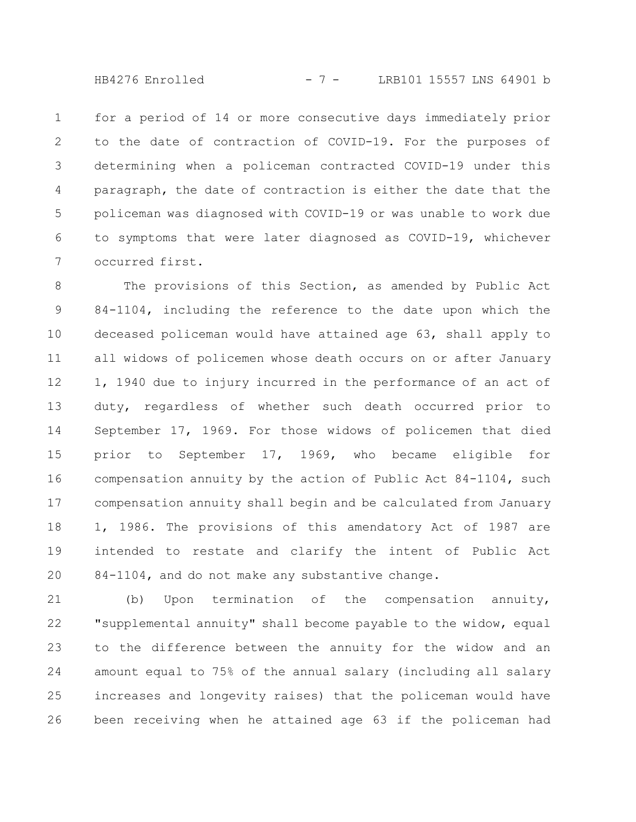HB4276 Enrolled - 7 - LRB101 15557 LNS 64901 b

for a period of 14 or more consecutive days immediately prior to the date of contraction of COVID-19. For the purposes of determining when a policeman contracted COVID-19 under this paragraph, the date of contraction is either the date that the policeman was diagnosed with COVID-19 or was unable to work due to symptoms that were later diagnosed as COVID-19, whichever occurred first. 1 2 3 4 5 6 7

The provisions of this Section, as amended by Public Act 84-1104, including the reference to the date upon which the deceased policeman would have attained age 63, shall apply to all widows of policemen whose death occurs on or after January 1, 1940 due to injury incurred in the performance of an act of duty, regardless of whether such death occurred prior to September 17, 1969. For those widows of policemen that died prior to September 17, 1969, who became eligible for compensation annuity by the action of Public Act 84-1104, such compensation annuity shall begin and be calculated from January 1, 1986. The provisions of this amendatory Act of 1987 are intended to restate and clarify the intent of Public Act 84-1104, and do not make any substantive change. 8 9 10 11 12 13 14 15 16 17 18 19 20

(b) Upon termination of the compensation annuity, "supplemental annuity" shall become payable to the widow, equal to the difference between the annuity for the widow and an amount equal to 75% of the annual salary (including all salary increases and longevity raises) that the policeman would have been receiving when he attained age 63 if the policeman had 21 22 23 24 25 26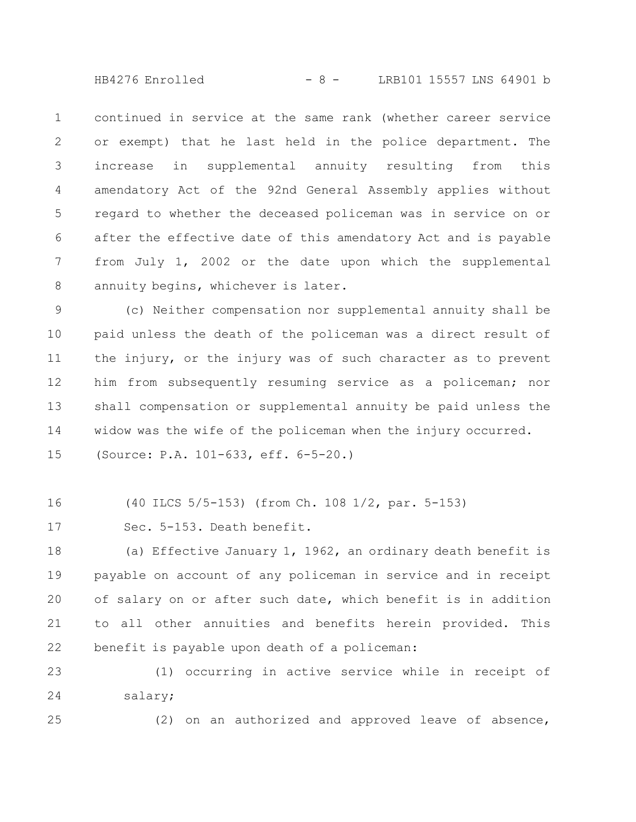HB4276 Enrolled - 8 - LRB101 15557 LNS 64901 b

continued in service at the same rank (whether career service or exempt) that he last held in the police department. The increase in supplemental annuity resulting from this amendatory Act of the 92nd General Assembly applies without regard to whether the deceased policeman was in service on or after the effective date of this amendatory Act and is payable from July 1, 2002 or the date upon which the supplemental annuity begins, whichever is later. 1 2 3 4 5 6 7 8

(c) Neither compensation nor supplemental annuity shall be paid unless the death of the policeman was a direct result of the injury, or the injury was of such character as to prevent him from subsequently resuming service as a policeman; nor shall compensation or supplemental annuity be paid unless the widow was the wife of the policeman when the injury occurred. (Source: P.A. 101-633, eff. 6-5-20.) 9 10 11 12 13 14 15

(40 ILCS 5/5-153) (from Ch. 108 1/2, par. 5-153) 16

Sec. 5-153. Death benefit. 17

(a) Effective January 1, 1962, an ordinary death benefit is payable on account of any policeman in service and in receipt of salary on or after such date, which benefit is in addition to all other annuities and benefits herein provided. This benefit is payable upon death of a policeman: 18 19 20 21 22

(1) occurring in active service while in receipt of salary; 23 24

25

(2) on an authorized and approved leave of absence,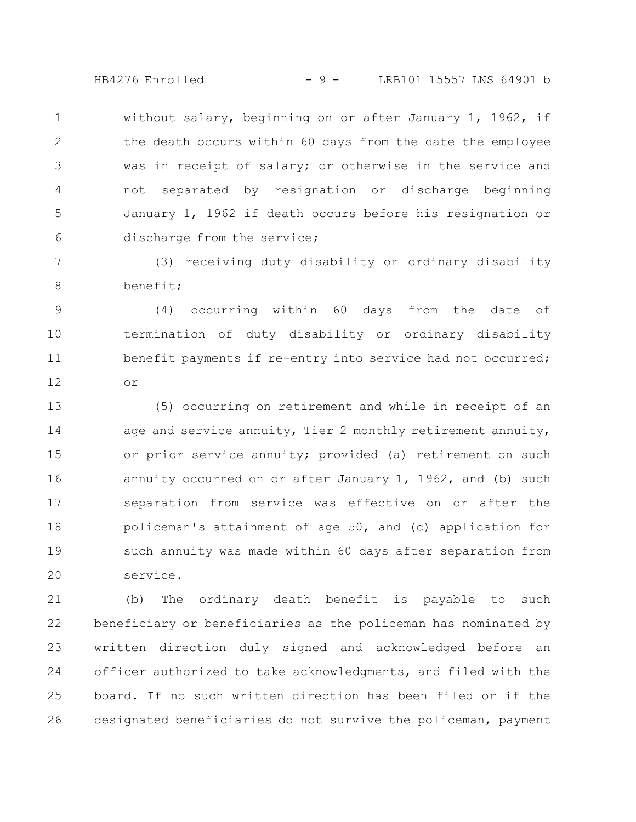HB4276 Enrolled - 9 - LRB101 15557 LNS 64901 b

without salary, beginning on or after January 1, 1962, if the death occurs within 60 days from the date the employee was in receipt of salary; or otherwise in the service and not separated by resignation or discharge beginning January 1, 1962 if death occurs before his resignation or discharge from the service; 1 2 3 4 5 6

(3) receiving duty disability or ordinary disability benefit; 7 8

(4) occurring within 60 days from the date of termination of duty disability or ordinary disability benefit payments if re-entry into service had not occurred; or 9 10 11 12

(5) occurring on retirement and while in receipt of an age and service annuity, Tier 2 monthly retirement annuity, or prior service annuity; provided (a) retirement on such annuity occurred on or after January 1, 1962, and (b) such separation from service was effective on or after the policeman's attainment of age 50, and (c) application for such annuity was made within 60 days after separation from service. 13 14 15 16 17 18 19 20

(b) The ordinary death benefit is payable to such beneficiary or beneficiaries as the policeman has nominated by written direction duly signed and acknowledged before an officer authorized to take acknowledgments, and filed with the board. If no such written direction has been filed or if the designated beneficiaries do not survive the policeman, payment 21 22 23 24 25 26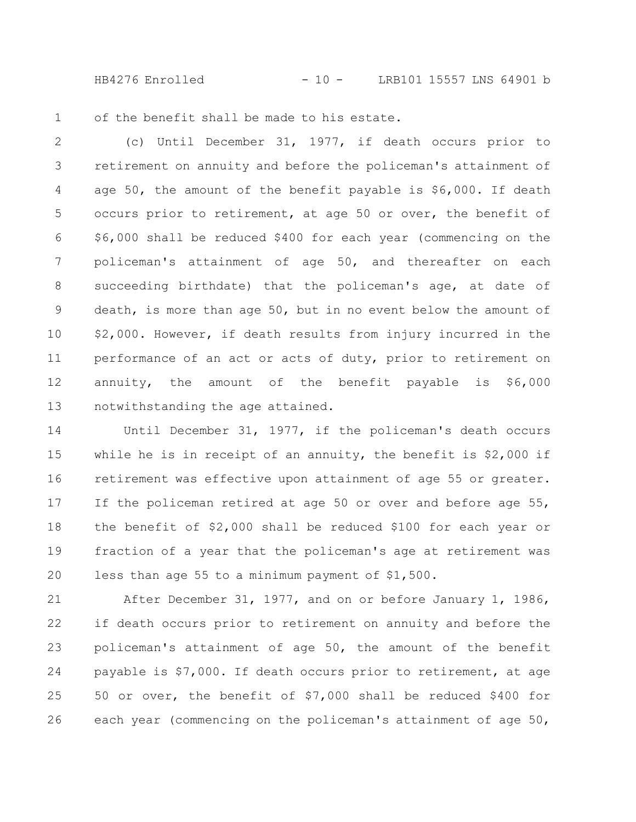HB4276 Enrolled - 10 - LRB101 15557 LNS 64901 b

of the benefit shall be made to his estate. 1

(c) Until December 31, 1977, if death occurs prior to retirement on annuity and before the policeman's attainment of age  $50$ , the amount of the benefit payable is  $$6,000$ . If death occurs prior to retirement, at age 50 or over, the benefit of \$6,000 shall be reduced \$400 for each year (commencing on the policeman's attainment of age 50, and thereafter on each succeeding birthdate) that the policeman's age, at date of death, is more than age 50, but in no event below the amount of \$2,000. However, if death results from injury incurred in the performance of an act or acts of duty, prior to retirement on annuity, the amount of the benefit payable is \$6,000 notwithstanding the age attained. 2 3 4 5 6 7 8 9 10 11 12 13

Until December 31, 1977, if the policeman's death occurs while he is in receipt of an annuity, the benefit is  $$2,000$  if retirement was effective upon attainment of age 55 or greater. If the policeman retired at age 50 or over and before age 55, the benefit of \$2,000 shall be reduced \$100 for each year or fraction of a year that the policeman's age at retirement was less than age 55 to a minimum payment of \$1,500. 14 15 16 17 18 19 20

After December 31, 1977, and on or before January 1, 1986, if death occurs prior to retirement on annuity and before the policeman's attainment of age 50, the amount of the benefit payable is \$7,000. If death occurs prior to retirement, at age 50 or over, the benefit of \$7,000 shall be reduced \$400 for each year (commencing on the policeman's attainment of age 50, 21 22 23 24 25 26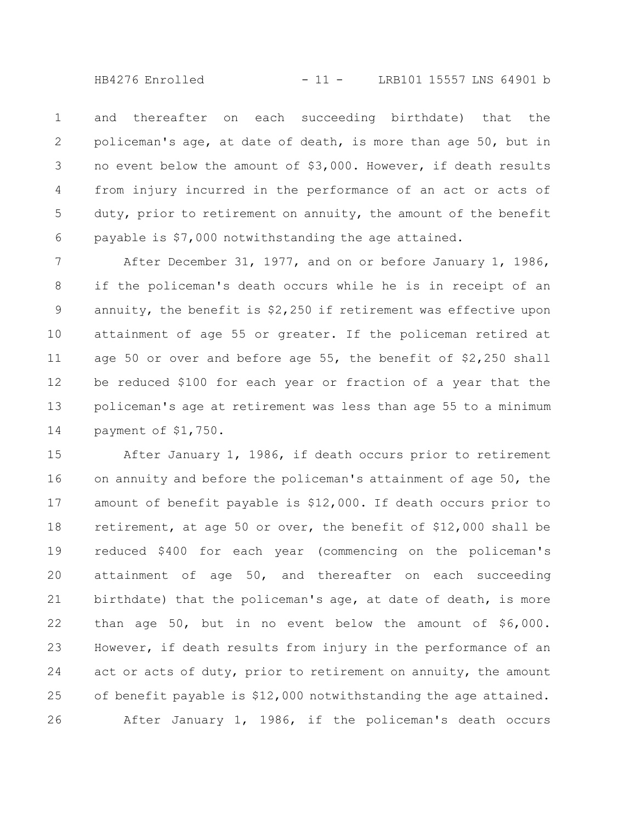HB4276 Enrolled - 11 - LRB101 15557 LNS 64901 b

and thereafter on each succeeding birthdate) that the policeman's age, at date of death, is more than age 50, but in no event below the amount of \$3,000. However, if death results from injury incurred in the performance of an act or acts of duty, prior to retirement on annuity, the amount of the benefit payable is \$7,000 notwithstanding the age attained. 1 2 3 4 5 6

After December 31, 1977, and on or before January 1, 1986, if the policeman's death occurs while he is in receipt of an annuity, the benefit is \$2,250 if retirement was effective upon attainment of age 55 or greater. If the policeman retired at age 50 or over and before age 55, the benefit of \$2,250 shall be reduced \$100 for each year or fraction of a year that the policeman's age at retirement was less than age 55 to a minimum payment of \$1,750. 7 8 9 10 11 12 13 14

After January 1, 1986, if death occurs prior to retirement on annuity and before the policeman's attainment of age 50, the amount of benefit payable is \$12,000. If death occurs prior to retirement, at age 50 or over, the benefit of \$12,000 shall be reduced \$400 for each year (commencing on the policeman's attainment of age 50, and thereafter on each succeeding birthdate) that the policeman's age, at date of death, is more than age 50, but in no event below the amount of \$6,000. However, if death results from injury in the performance of an act or acts of duty, prior to retirement on annuity, the amount of benefit payable is \$12,000 notwithstanding the age attained. After January 1, 1986, if the policeman's death occurs 15 16 17 18 19 20 21 22 23 24 25 26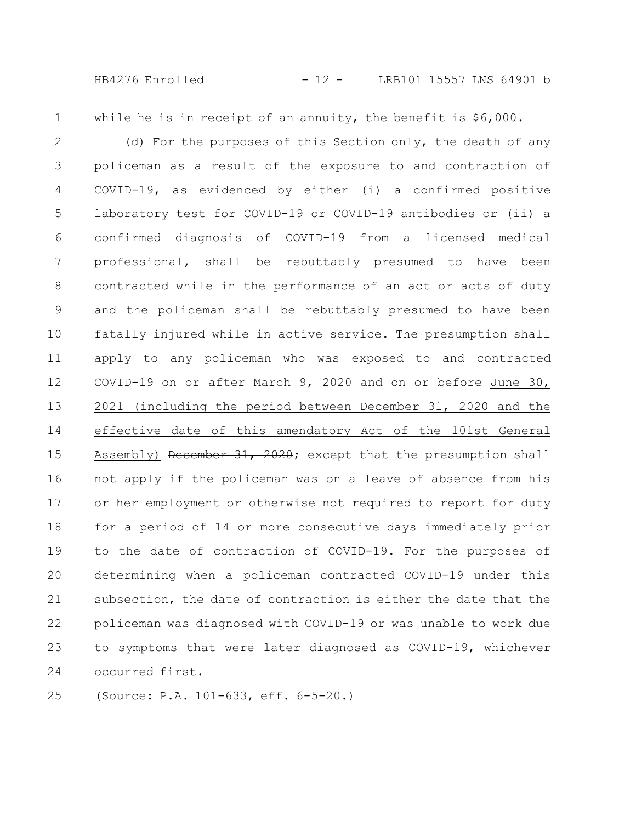HB4276 Enrolled - 12 - LRB101 15557 LNS 64901 b

while he is in receipt of an annuity, the benefit is \$6,000. 1

(d) For the purposes of this Section only, the death of any policeman as a result of the exposure to and contraction of COVID-19, as evidenced by either (i) a confirmed positive laboratory test for COVID-19 or COVID-19 antibodies or (ii) a confirmed diagnosis of COVID-19 from a licensed medical professional, shall be rebuttably presumed to have been contracted while in the performance of an act or acts of duty and the policeman shall be rebuttably presumed to have been fatally injured while in active service. The presumption shall apply to any policeman who was exposed to and contracted COVID-19 on or after March 9, 2020 and on or before June 30, 2021 (including the period between December 31, 2020 and the effective date of this amendatory Act of the 101st General Assembly) December 31, 2020; except that the presumption shall not apply if the policeman was on a leave of absence from his or her employment or otherwise not required to report for duty for a period of 14 or more consecutive days immediately prior to the date of contraction of COVID-19. For the purposes of determining when a policeman contracted COVID-19 under this subsection, the date of contraction is either the date that the policeman was diagnosed with COVID-19 or was unable to work due to symptoms that were later diagnosed as COVID-19, whichever occurred first. 2 3 4 5 6 7 8 9 10 11 12 13 14 15 16 17 18 19 20 21 22 23 24

(Source: P.A. 101-633, eff. 6-5-20.) 25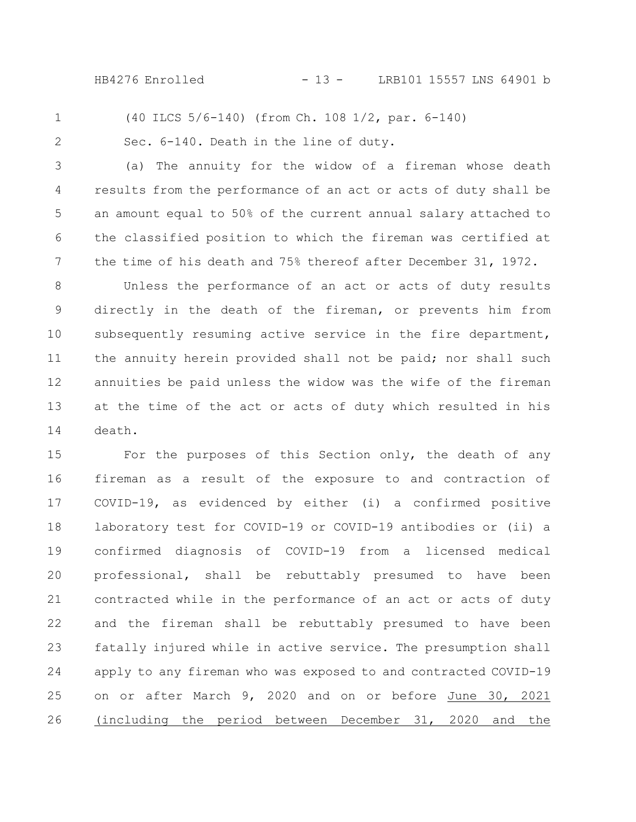HB4276 Enrolled - 13 - LRB101 15557 LNS 64901 b

1

(40 ILCS 5/6-140) (from Ch. 108 1/2, par. 6-140)

Sec. 6-140. Death in the line of duty.

2

7

(a) The annuity for the widow of a fireman whose death results from the performance of an act or acts of duty shall be an amount equal to 50% of the current annual salary attached to the classified position to which the fireman was certified at 3 4 5 6

Unless the performance of an act or acts of duty results directly in the death of the fireman, or prevents him from subsequently resuming active service in the fire department, the annuity herein provided shall not be paid; nor shall such annuities be paid unless the widow was the wife of the fireman at the time of the act or acts of duty which resulted in his death. 8 9 10 11 12 13 14

the time of his death and 75% thereof after December 31, 1972.

For the purposes of this Section only, the death of any fireman as a result of the exposure to and contraction of COVID-19, as evidenced by either (i) a confirmed positive laboratory test for COVID-19 or COVID-19 antibodies or (ii) a confirmed diagnosis of COVID-19 from a licensed medical professional, shall be rebuttably presumed to have been contracted while in the performance of an act or acts of duty and the fireman shall be rebuttably presumed to have been fatally injured while in active service. The presumption shall apply to any fireman who was exposed to and contracted COVID-19 on or after March 9, 2020 and on or before June 30, 2021 (including the period between December 31, 2020 and the 15 16 17 18 19 20 21 22 23 24 25 26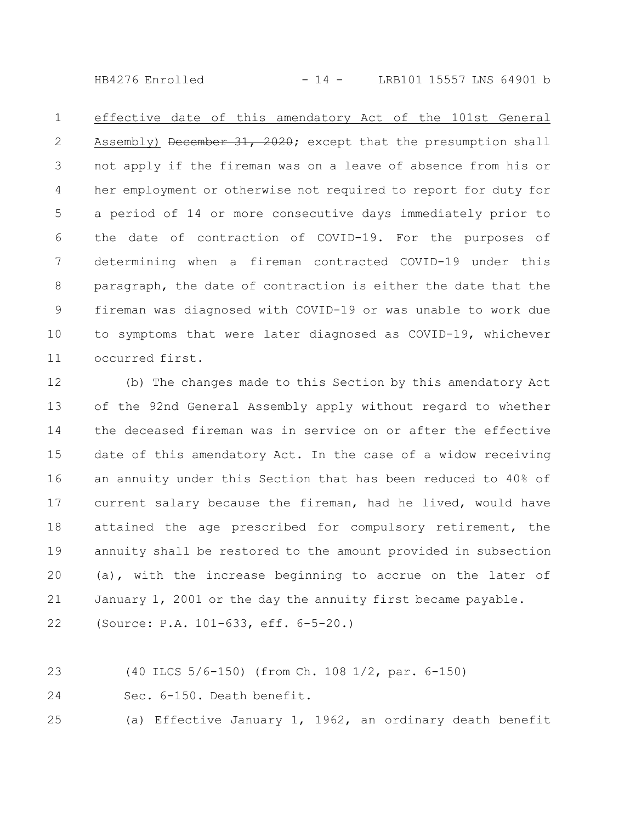HB4276 Enrolled - 14 - LRB101 15557 LNS 64901 b

effective date of this amendatory Act of the 101st General Assembly) December 31, 2020; except that the presumption shall not apply if the fireman was on a leave of absence from his or her employment or otherwise not required to report for duty for a period of 14 or more consecutive days immediately prior to the date of contraction of COVID-19. For the purposes of determining when a fireman contracted COVID-19 under this paragraph, the date of contraction is either the date that the fireman was diagnosed with COVID-19 or was unable to work due to symptoms that were later diagnosed as COVID-19, whichever occurred first. 1 2 3 4 5 6 7 8 9 10 11

(b) The changes made to this Section by this amendatory Act of the 92nd General Assembly apply without regard to whether the deceased fireman was in service on or after the effective date of this amendatory Act. In the case of a widow receiving an annuity under this Section that has been reduced to 40% of current salary because the fireman, had he lived, would have attained the age prescribed for compulsory retirement, the annuity shall be restored to the amount provided in subsection (a), with the increase beginning to accrue on the later of January 1, 2001 or the day the annuity first became payable. 12 13 14 15 16 17 18 19 20 21

(Source: P.A. 101-633, eff. 6-5-20.) 22

(40 ILCS 5/6-150) (from Ch. 108 1/2, par. 6-150) 23

Sec. 6-150. Death benefit. 24

(a) Effective January 1, 1962, an ordinary death benefit 25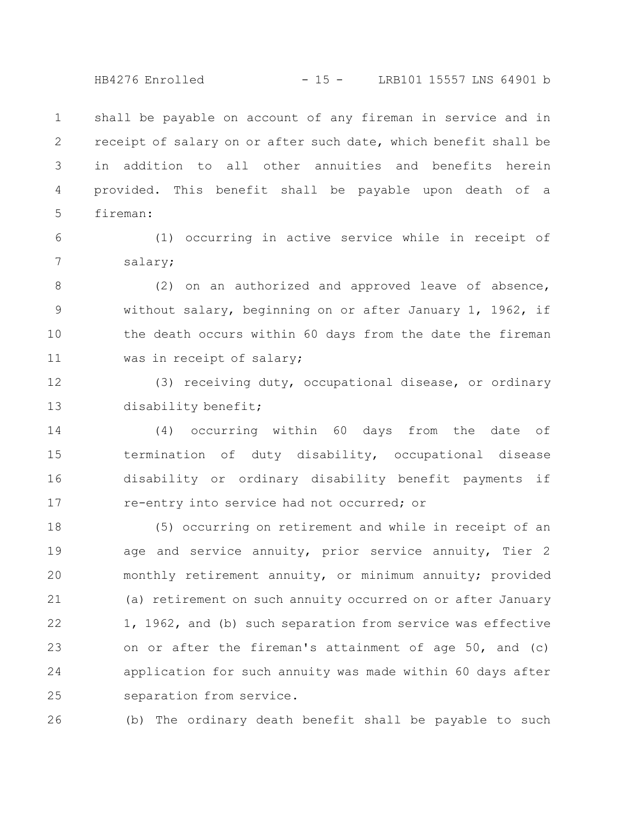HB4276 Enrolled - 15 - LRB101 15557 LNS 64901 b

shall be payable on account of any fireman in service and in receipt of salary on or after such date, which benefit shall be in addition to all other annuities and benefits herein provided. This benefit shall be payable upon death of a fireman: 1 2 3 4 5

6

7

(1) occurring in active service while in receipt of salary;

(2) on an authorized and approved leave of absence, without salary, beginning on or after January 1, 1962, if the death occurs within 60 days from the date the fireman was in receipt of salary; 8 9 10 11

(3) receiving duty, occupational disease, or ordinary disability benefit; 12 13

(4) occurring within 60 days from the date of termination of duty disability, occupational disease disability or ordinary disability benefit payments if re-entry into service had not occurred; or 14 15 16 17

(5) occurring on retirement and while in receipt of an age and service annuity, prior service annuity, Tier 2 monthly retirement annuity, or minimum annuity; provided (a) retirement on such annuity occurred on or after January 1, 1962, and (b) such separation from service was effective on or after the fireman's attainment of age 50, and (c) application for such annuity was made within 60 days after separation from service. 18 19 20 21 22 23 24 25

(b) The ordinary death benefit shall be payable to such 26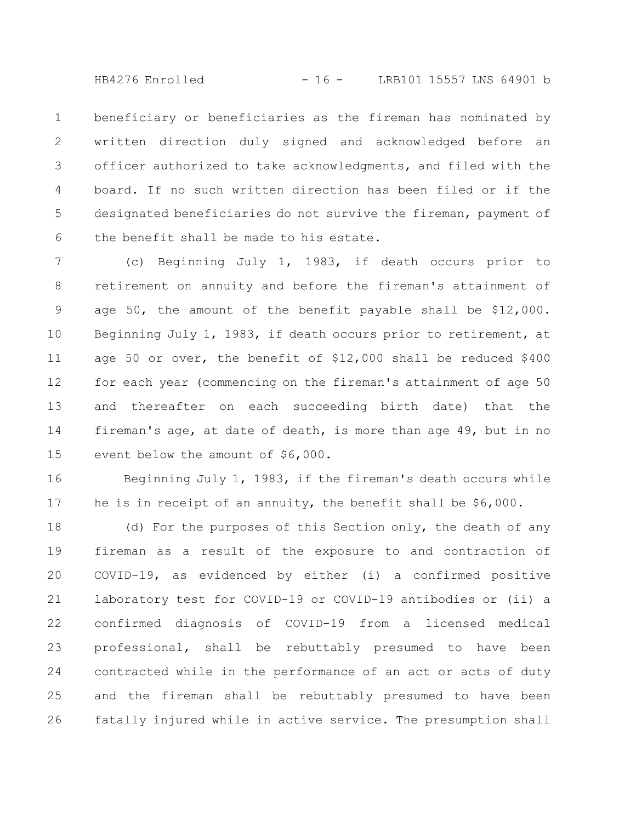HB4276 Enrolled - 16 - LRB101 15557 LNS 64901 b

beneficiary or beneficiaries as the fireman has nominated by written direction duly signed and acknowledged before an officer authorized to take acknowledgments, and filed with the board. If no such written direction has been filed or if the designated beneficiaries do not survive the fireman, payment of the benefit shall be made to his estate. 1 2 3 4 5 6

(c) Beginning July 1, 1983, if death occurs prior to retirement on annuity and before the fireman's attainment of age 50, the amount of the benefit payable shall be \$12,000. Beginning July 1, 1983, if death occurs prior to retirement, at age 50 or over, the benefit of \$12,000 shall be reduced \$400 for each year (commencing on the fireman's attainment of age 50 and thereafter on each succeeding birth date) that the fireman's age, at date of death, is more than age 49, but in no event below the amount of \$6,000. 7 8 9 10 11 12 13 14 15

Beginning July 1, 1983, if the fireman's death occurs while he is in receipt of an annuity, the benefit shall be \$6,000. 16 17

(d) For the purposes of this Section only, the death of any fireman as a result of the exposure to and contraction of COVID-19, as evidenced by either (i) a confirmed positive laboratory test for COVID-19 or COVID-19 antibodies or (ii) a confirmed diagnosis of COVID-19 from a licensed medical professional, shall be rebuttably presumed to have been contracted while in the performance of an act or acts of duty and the fireman shall be rebuttably presumed to have been fatally injured while in active service. The presumption shall 18 19 20 21 22 23 24 25 26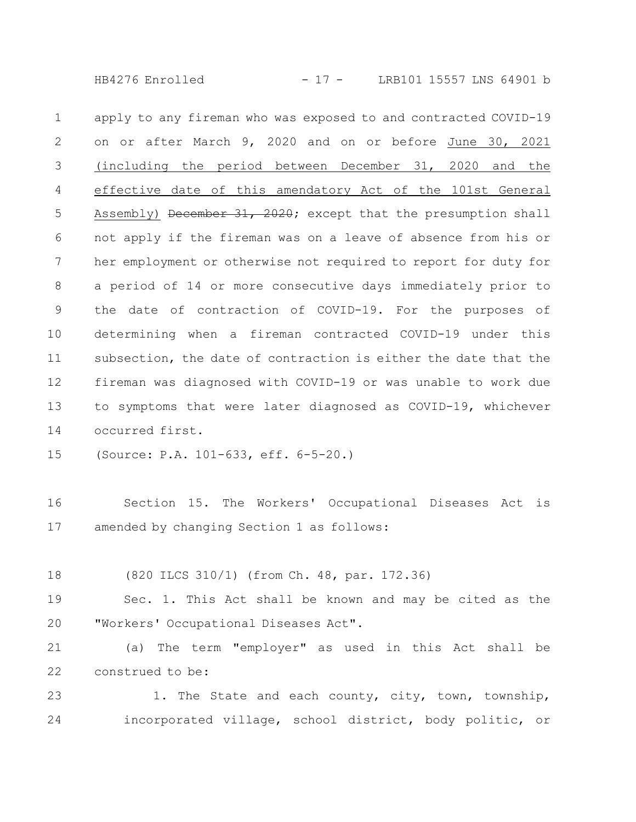HB4276 Enrolled - 17 - LRB101 15557 LNS 64901 b

apply to any fireman who was exposed to and contracted COVID-19 on or after March 9, 2020 and on or before June 30, 2021 (including the period between December 31, 2020 and the effective date of this amendatory Act of the 101st General Assembly) December 31, 2020; except that the presumption shall not apply if the fireman was on a leave of absence from his or her employment or otherwise not required to report for duty for a period of 14 or more consecutive days immediately prior to the date of contraction of COVID-19. For the purposes of determining when a fireman contracted COVID-19 under this subsection, the date of contraction is either the date that the fireman was diagnosed with COVID-19 or was unable to work due to symptoms that were later diagnosed as COVID-19, whichever occurred first. 1 2 3 4 5 6 7 8 9 10 11 12 13 14

(Source: P.A. 101-633, eff. 6-5-20.) 15

Section 15. The Workers' Occupational Diseases Act is amended by changing Section 1 as follows: 16 17

(820 ILCS 310/1) (from Ch. 48, par. 172.36) 18

Sec. 1. This Act shall be known and may be cited as the "Workers' Occupational Diseases Act". 19 20

(a) The term "employer" as used in this Act shall be construed to be: 21 22

1. The State and each county, city, town, township, incorporated village, school district, body politic, or 23 24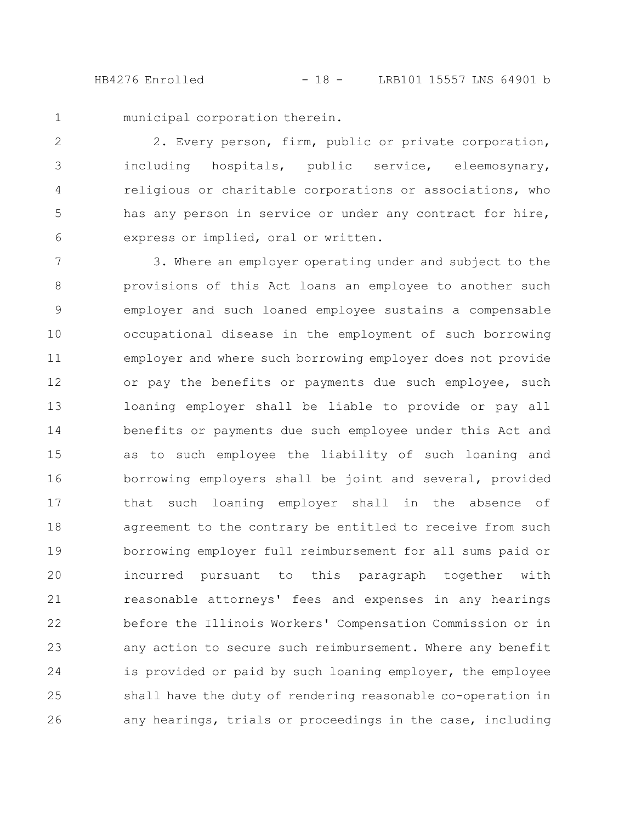HB4276 Enrolled - 18 - LRB101 15557 LNS 64901 b

municipal corporation therein. 1

2. Every person, firm, public or private corporation, including hospitals, public service, eleemosynary, religious or charitable corporations or associations, who has any person in service or under any contract for hire, express or implied, oral or written. 2 3 4 5 6

3. Where an employer operating under and subject to the provisions of this Act loans an employee to another such employer and such loaned employee sustains a compensable occupational disease in the employment of such borrowing employer and where such borrowing employer does not provide or pay the benefits or payments due such employee, such loaning employer shall be liable to provide or pay all benefits or payments due such employee under this Act and as to such employee the liability of such loaning and borrowing employers shall be joint and several, provided that such loaning employer shall in the absence of agreement to the contrary be entitled to receive from such borrowing employer full reimbursement for all sums paid or incurred pursuant to this paragraph together with reasonable attorneys' fees and expenses in any hearings before the Illinois Workers' Compensation Commission or in any action to secure such reimbursement. Where any benefit is provided or paid by such loaning employer, the employee shall have the duty of rendering reasonable co-operation in any hearings, trials or proceedings in the case, including 7 8 9 10 11 12 13 14 15 16 17 18 19 20 21 22 23 24 25 26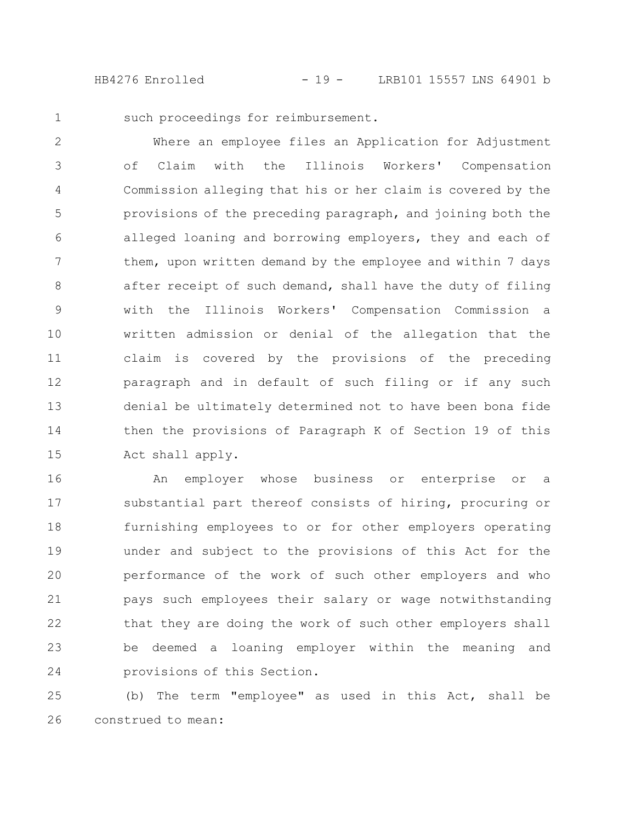HB4276 Enrolled - 19 - LRB101 15557 LNS 64901 b

1

such proceedings for reimbursement.

Where an employee files an Application for Adjustment of Claim with the Illinois Workers' Compensation Commission alleging that his or her claim is covered by the provisions of the preceding paragraph, and joining both the alleged loaning and borrowing employers, they and each of them, upon written demand by the employee and within 7 days after receipt of such demand, shall have the duty of filing with the Illinois Workers' Compensation Commission a written admission or denial of the allegation that the claim is covered by the provisions of the preceding paragraph and in default of such filing or if any such denial be ultimately determined not to have been bona fide then the provisions of Paragraph K of Section 19 of this Act shall apply. 2 3 4 5 6 7 8 9 10 11 12 13 14 15

An employer whose business or enterprise or a substantial part thereof consists of hiring, procuring or furnishing employees to or for other employers operating under and subject to the provisions of this Act for the performance of the work of such other employers and who pays such employees their salary or wage notwithstanding that they are doing the work of such other employers shall be deemed a loaning employer within the meaning and provisions of this Section. 16 17 18 19 20 21 22 23 24

(b) The term "employee" as used in this Act, shall be construed to mean: 25 26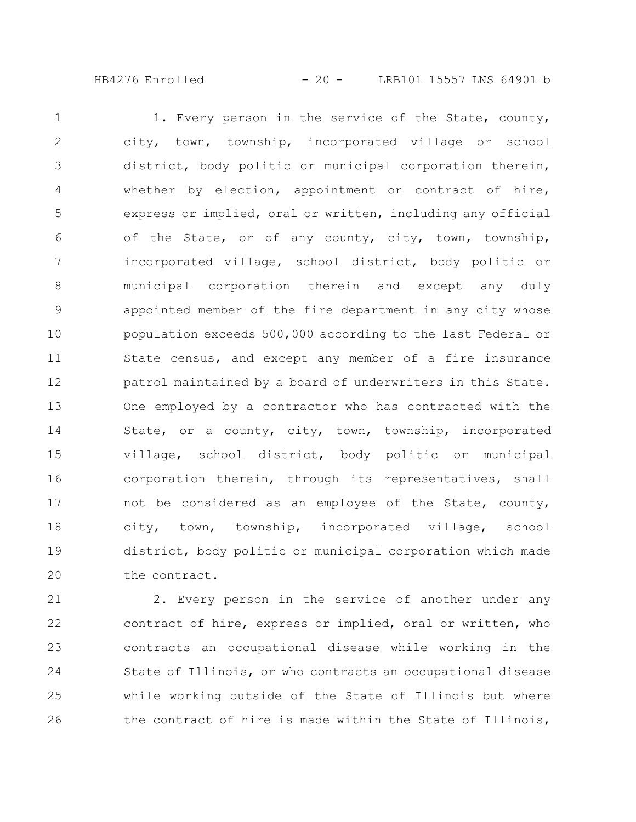HB4276 Enrolled - 20 - LRB101 15557 LNS 64901 b

1. Every person in the service of the State, county, city, town, township, incorporated village or school district, body politic or municipal corporation therein, whether by election, appointment or contract of hire, express or implied, oral or written, including any official of the State, or of any county, city, town, township, incorporated village, school district, body politic or municipal corporation therein and except any duly appointed member of the fire department in any city whose population exceeds 500,000 according to the last Federal or State census, and except any member of a fire insurance patrol maintained by a board of underwriters in this State. One employed by a contractor who has contracted with the State, or a county, city, town, township, incorporated village, school district, body politic or municipal corporation therein, through its representatives, shall not be considered as an employee of the State, county, city, town, township, incorporated village, school district, body politic or municipal corporation which made the contract. 1 2 3 4 5 6 7 8 9 10 11 12 13 14 15 16 17 18 19 20

2. Every person in the service of another under any contract of hire, express or implied, oral or written, who contracts an occupational disease while working in the State of Illinois, or who contracts an occupational disease while working outside of the State of Illinois but where the contract of hire is made within the State of Illinois, 21 22 23 24 25 26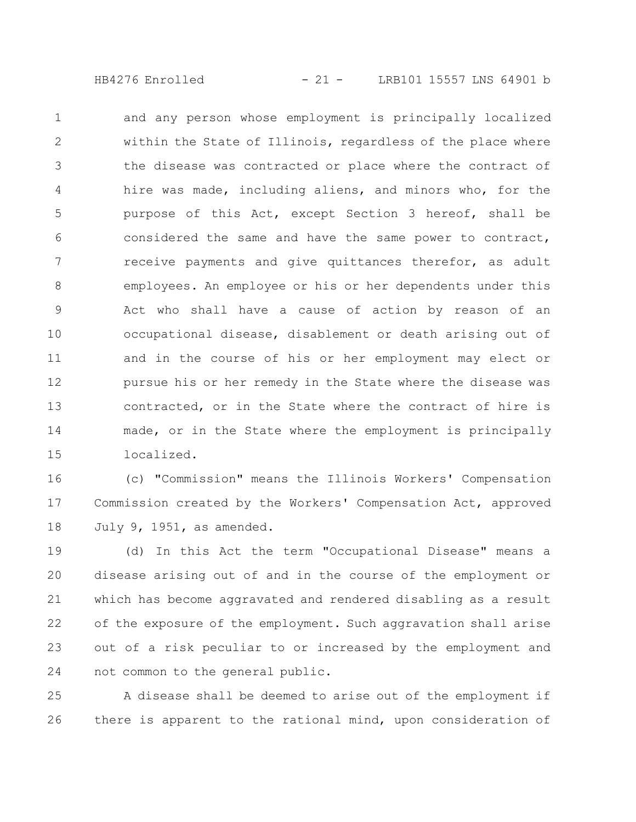$HB4276$  Enrolled  $-21 -$  LRB101 15557 LNS 64901 b

and any person whose employment is principally localized within the State of Illinois, regardless of the place where the disease was contracted or place where the contract of hire was made, including aliens, and minors who, for the purpose of this Act, except Section 3 hereof, shall be considered the same and have the same power to contract, receive payments and give quittances therefor, as adult employees. An employee or his or her dependents under this Act who shall have a cause of action by reason of an occupational disease, disablement or death arising out of and in the course of his or her employment may elect or pursue his or her remedy in the State where the disease was contracted, or in the State where the contract of hire is made, or in the State where the employment is principally localized. 1 2 3 4 5 6 7 8 9 10 11 12 13 14 15

(c) "Commission" means the Illinois Workers' Compensation Commission created by the Workers' Compensation Act, approved July 9, 1951, as amended. 16 17 18

(d) In this Act the term "Occupational Disease" means a disease arising out of and in the course of the employment or which has become aggravated and rendered disabling as a result of the exposure of the employment. Such aggravation shall arise out of a risk peculiar to or increased by the employment and not common to the general public. 19 20 21 22 23 24

A disease shall be deemed to arise out of the employment if there is apparent to the rational mind, upon consideration of 25 26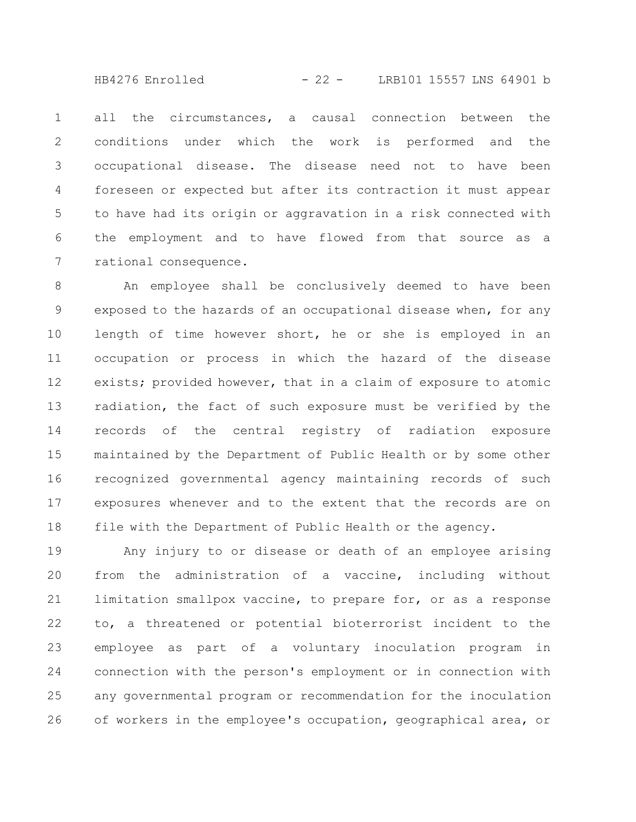$HB4276$  Enrolled  $-22 -$  LRB101 15557 LNS 64901 b

all the circumstances, a causal connection between the conditions under which the work is performed and the occupational disease. The disease need not to have been foreseen or expected but after its contraction it must appear to have had its origin or aggravation in a risk connected with the employment and to have flowed from that source as a rational consequence. 1 2 3 4 5 6 7

An employee shall be conclusively deemed to have been exposed to the hazards of an occupational disease when, for any length of time however short, he or she is employed in an occupation or process in which the hazard of the disease exists; provided however, that in a claim of exposure to atomic radiation, the fact of such exposure must be verified by the records of the central registry of radiation exposure maintained by the Department of Public Health or by some other recognized governmental agency maintaining records of such exposures whenever and to the extent that the records are on file with the Department of Public Health or the agency. 8 9 10 11 12 13 14 15 16 17 18

Any injury to or disease or death of an employee arising from the administration of a vaccine, including without limitation smallpox vaccine, to prepare for, or as a response to, a threatened or potential bioterrorist incident to the employee as part of a voluntary inoculation program in connection with the person's employment or in connection with any governmental program or recommendation for the inoculation of workers in the employee's occupation, geographical area, or 19 20 21 22 23 24 25 26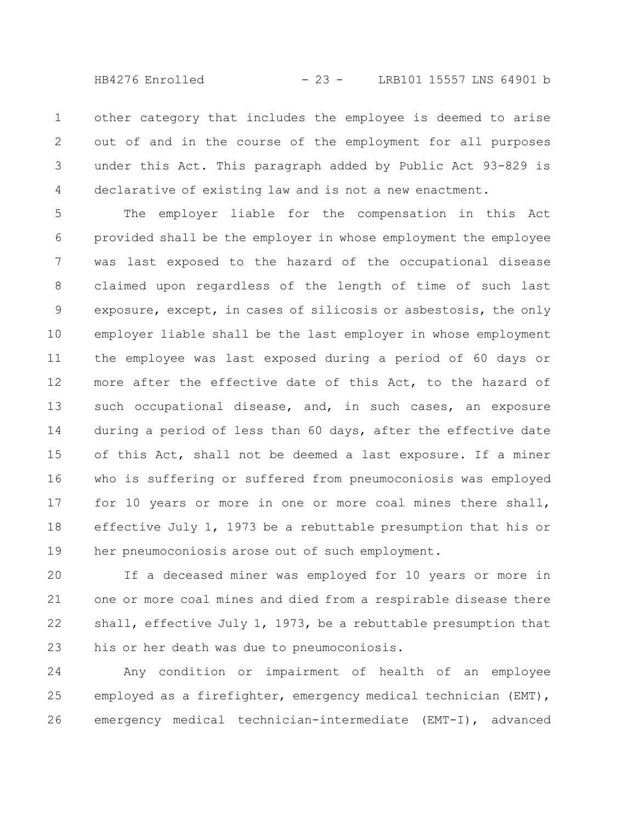$HB4276$  Enrolled  $-23 -$  LRB101 15557 LNS 64901 b

other category that includes the employee is deemed to arise out of and in the course of the employment for all purposes under this Act. This paragraph added by Public Act 93-829 is declarative of existing law and is not a new enactment. 1 2 3 4

The employer liable for the compensation in this Act provided shall be the employer in whose employment the employee was last exposed to the hazard of the occupational disease claimed upon regardless of the length of time of such last exposure, except, in cases of silicosis or asbestosis, the only employer liable shall be the last employer in whose employment the employee was last exposed during a period of 60 days or more after the effective date of this Act, to the hazard of such occupational disease, and, in such cases, an exposure during a period of less than 60 days, after the effective date of this Act, shall not be deemed a last exposure. If a miner who is suffering or suffered from pneumoconiosis was employed for 10 years or more in one or more coal mines there shall, effective July 1, 1973 be a rebuttable presumption that his or her pneumoconiosis arose out of such employment. 5 6 7 8 9 10 11 12 13 14 15 16 17 18 19

If a deceased miner was employed for 10 years or more in one or more coal mines and died from a respirable disease there shall, effective July 1, 1973, be a rebuttable presumption that his or her death was due to pneumoconiosis. 20 21 22 23

Any condition or impairment of health of an employee employed as a firefighter, emergency medical technician (EMT), emergency medical technician-intermediate (EMT-I), advanced 24 25 26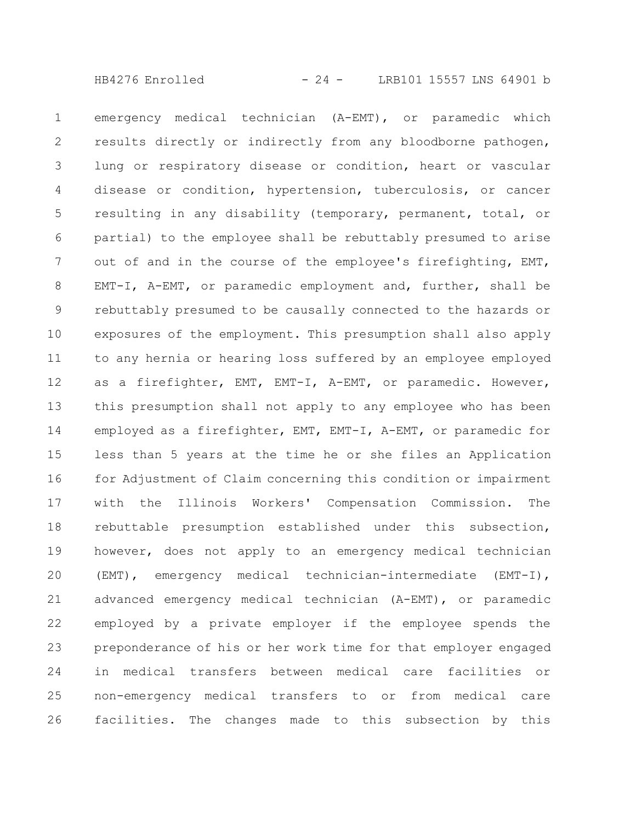emergency medical technician (A-EMT), or paramedic which results directly or indirectly from any bloodborne pathogen, lung or respiratory disease or condition, heart or vascular disease or condition, hypertension, tuberculosis, or cancer resulting in any disability (temporary, permanent, total, or partial) to the employee shall be rebuttably presumed to arise out of and in the course of the employee's firefighting, EMT, EMT-I, A-EMT, or paramedic employment and, further, shall be rebuttably presumed to be causally connected to the hazards or exposures of the employment. This presumption shall also apply to any hernia or hearing loss suffered by an employee employed as a firefighter, EMT, EMT-I, A-EMT, or paramedic. However, this presumption shall not apply to any employee who has been employed as a firefighter, EMT, EMT-I, A-EMT, or paramedic for less than 5 years at the time he or she files an Application for Adjustment of Claim concerning this condition or impairment with the Illinois Workers' Compensation Commission. The rebuttable presumption established under this subsection, however, does not apply to an emergency medical technician (EMT), emergency medical technician-intermediate (EMT-I), advanced emergency medical technician (A-EMT), or paramedic employed by a private employer if the employee spends the preponderance of his or her work time for that employer engaged in medical transfers between medical care facilities or non-emergency medical transfers to or from medical care facilities. The changes made to this subsection by this 1 2 3 4 5 6 7 8 9 10 11 12 13 14 15 16 17 18 19 20 21 22 23 24 25 26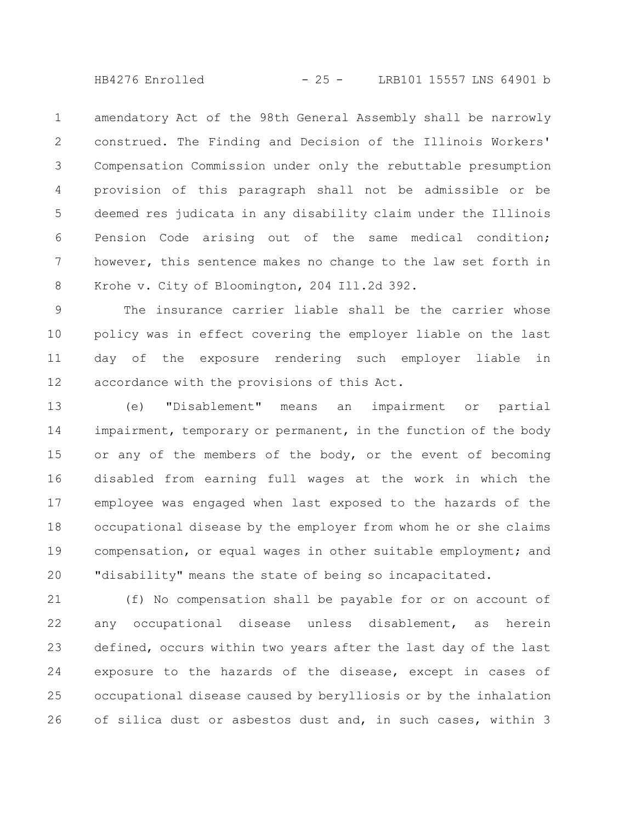$HB4276$  Enrolled  $-25 -$  LRB101 15557 LNS 64901 b

amendatory Act of the 98th General Assembly shall be narrowly construed. The Finding and Decision of the Illinois Workers' Compensation Commission under only the rebuttable presumption provision of this paragraph shall not be admissible or be deemed res judicata in any disability claim under the Illinois Pension Code arising out of the same medical condition; however, this sentence makes no change to the law set forth in Krohe v. City of Bloomington, 204 Ill.2d 392. 1 2 3 4 5 6 7 8

The insurance carrier liable shall be the carrier whose policy was in effect covering the employer liable on the last day of the exposure rendering such employer liable in accordance with the provisions of this Act. 9 10 11 12

(e) "Disablement" means an impairment or partial impairment, temporary or permanent, in the function of the body or any of the members of the body, or the event of becoming disabled from earning full wages at the work in which the employee was engaged when last exposed to the hazards of the occupational disease by the employer from whom he or she claims compensation, or equal wages in other suitable employment; and "disability" means the state of being so incapacitated. 13 14 15 16 17 18 19 20

(f) No compensation shall be payable for or on account of any occupational disease unless disablement, as herein defined, occurs within two years after the last day of the last exposure to the hazards of the disease, except in cases of occupational disease caused by berylliosis or by the inhalation of silica dust or asbestos dust and, in such cases, within 3 21 22 23 24 25 26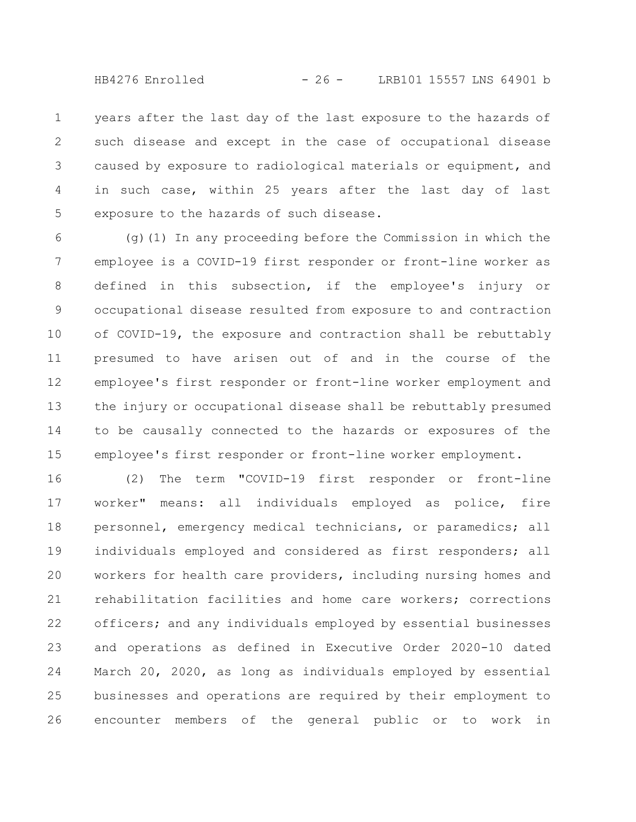$HB4276$  Enrolled  $-26$  - LRB101 15557 LNS 64901 b

years after the last day of the last exposure to the hazards of such disease and except in the case of occupational disease caused by exposure to radiological materials or equipment, and in such case, within 25 years after the last day of last exposure to the hazards of such disease. 1 2 3 4 5

(g)(1) In any proceeding before the Commission in which the employee is a COVID-19 first responder or front-line worker as defined in this subsection, if the employee's injury or occupational disease resulted from exposure to and contraction of COVID-19, the exposure and contraction shall be rebuttably presumed to have arisen out of and in the course of the employee's first responder or front-line worker employment and the injury or occupational disease shall be rebuttably presumed to be causally connected to the hazards or exposures of the employee's first responder or front-line worker employment. 6 7 8 9 10 11 12 13 14 15

(2) The term "COVID-19 first responder or front-line worker" means: all individuals employed as police, fire personnel, emergency medical technicians, or paramedics; all individuals employed and considered as first responders; all workers for health care providers, including nursing homes and rehabilitation facilities and home care workers; corrections officers; and any individuals employed by essential businesses and operations as defined in Executive Order 2020-10 dated March 20, 2020, as long as individuals employed by essential businesses and operations are required by their employment to encounter members of the general public or to work in 16 17 18 19 20 21 22 23 24 25 26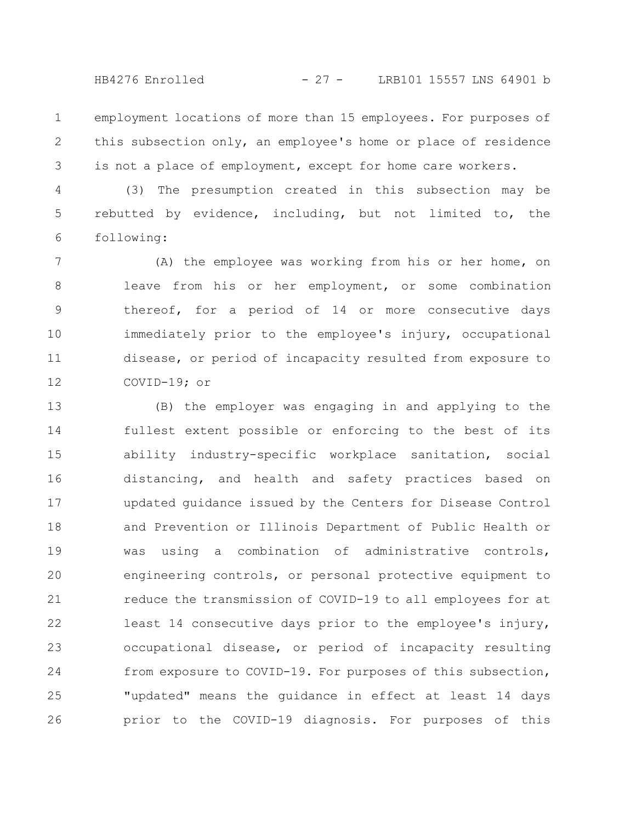$HB4276$  Enrolled  $-27 -$  LRB101 15557 LNS 64901 b

employment locations of more than 15 employees. For purposes of this subsection only, an employee's home or place of residence is not a place of employment, except for home care workers. 1 2 3

(3) The presumption created in this subsection may be rebutted by evidence, including, but not limited to, the following: 4 5 6

(A) the employee was working from his or her home, on leave from his or her employment, or some combination thereof, for a period of 14 or more consecutive days immediately prior to the employee's injury, occupational disease, or period of incapacity resulted from exposure to COVID-19; or 7 8 9 10 11 12

(B) the employer was engaging in and applying to the fullest extent possible or enforcing to the best of its ability industry-specific workplace sanitation, social distancing, and health and safety practices based on updated guidance issued by the Centers for Disease Control and Prevention or Illinois Department of Public Health or was using a combination of administrative controls, engineering controls, or personal protective equipment to reduce the transmission of COVID-19 to all employees for at least 14 consecutive days prior to the employee's injury, occupational disease, or period of incapacity resulting from exposure to COVID-19. For purposes of this subsection, "updated" means the guidance in effect at least 14 days prior to the COVID-19 diagnosis. For purposes of this 13 14 15 16 17 18 19 20 21 22 23 24 25 26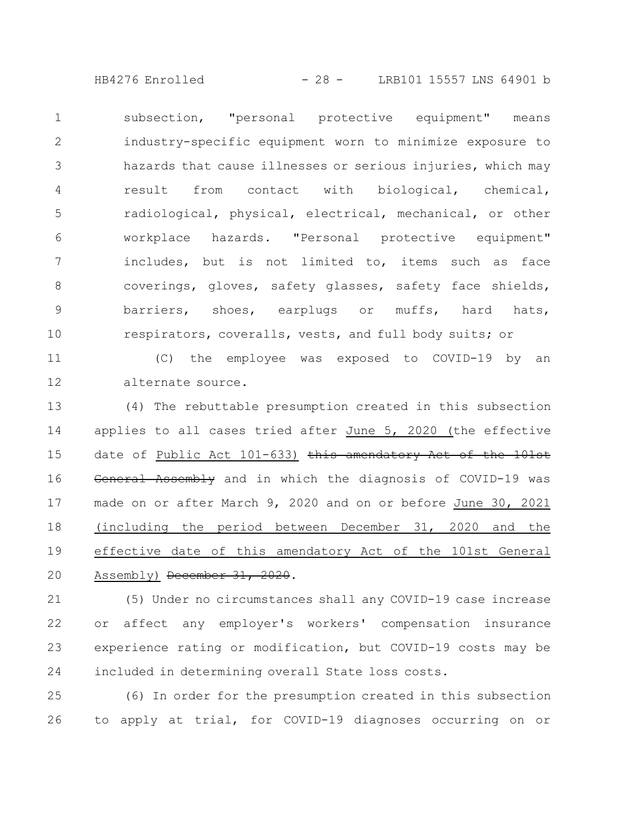HB4276 Enrolled - 28 - LRB101 15557 LNS 64901 b

subsection, "personal protective equipment" means industry-specific equipment worn to minimize exposure to hazards that cause illnesses or serious injuries, which may result from contact with biological, chemical, radiological, physical, electrical, mechanical, or other workplace hazards. "Personal protective equipment" includes, but is not limited to, items such as face coverings, gloves, safety glasses, safety face shields, barriers, shoes, earplugs or muffs, hard hats, respirators, coveralls, vests, and full body suits; or 1 2 3 4 5 6 7 8 9 10

(C) the employee was exposed to COVID-19 by an alternate source. 11 12

(4) The rebuttable presumption created in this subsection applies to all cases tried after June 5, 2020 (the effective date of Public Act 101-633) this amendatory Act of the 101st General Assembly and in which the diagnosis of COVID-19 was made on or after March 9, 2020 and on or before June 30, 2021 (including the period between December 31, 2020 and the effective date of this amendatory Act of the 101st General Assembly) December 31, 2020. 13 14 15 16 17 18 19 20

(5) Under no circumstances shall any COVID-19 case increase or affect any employer's workers' compensation insurance experience rating or modification, but COVID-19 costs may be included in determining overall State loss costs. 21 22 23 24

(6) In order for the presumption created in this subsection to apply at trial, for COVID-19 diagnoses occurring on or 25 26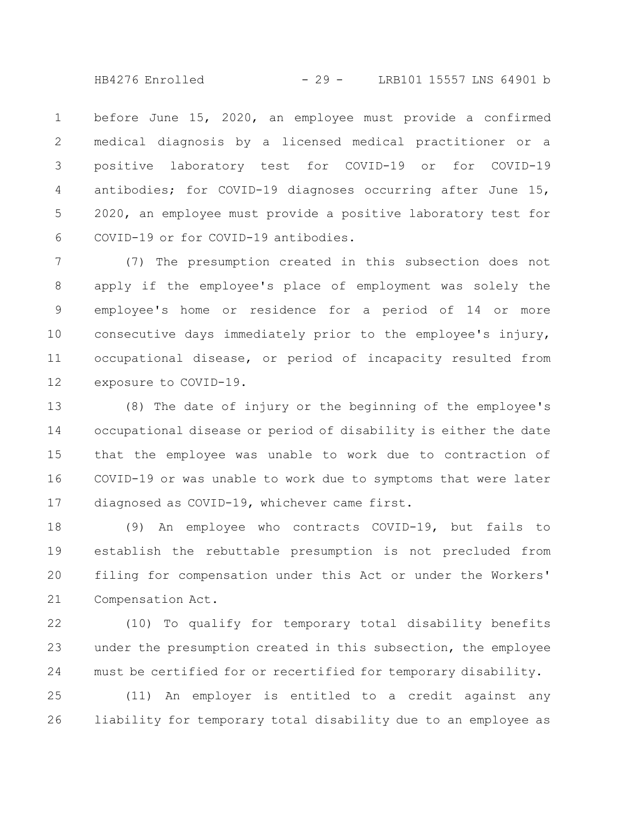$HB4276$  Enrolled  $-29 - 10001115557$  LNS 64901 b

before June 15, 2020, an employee must provide a confirmed medical diagnosis by a licensed medical practitioner or a positive laboratory test for COVID-19 or for COVID-19 antibodies; for COVID-19 diagnoses occurring after June 15, 2020, an employee must provide a positive laboratory test for COVID-19 or for COVID-19 antibodies. 1 2 3 4 5 6

(7) The presumption created in this subsection does not apply if the employee's place of employment was solely the employee's home or residence for a period of 14 or more consecutive days immediately prior to the employee's injury, occupational disease, or period of incapacity resulted from exposure to COVID-19. 7 8 9 10 11 12

(8) The date of injury or the beginning of the employee's occupational disease or period of disability is either the date that the employee was unable to work due to contraction of COVID-19 or was unable to work due to symptoms that were later diagnosed as COVID-19, whichever came first. 13 14 15 16 17

(9) An employee who contracts COVID-19, but fails to establish the rebuttable presumption is not precluded from filing for compensation under this Act or under the Workers' Compensation Act. 18 19 20 21

(10) To qualify for temporary total disability benefits under the presumption created in this subsection, the employee must be certified for or recertified for temporary disability. 22 23 24

(11) An employer is entitled to a credit against any liability for temporary total disability due to an employee as 25 26